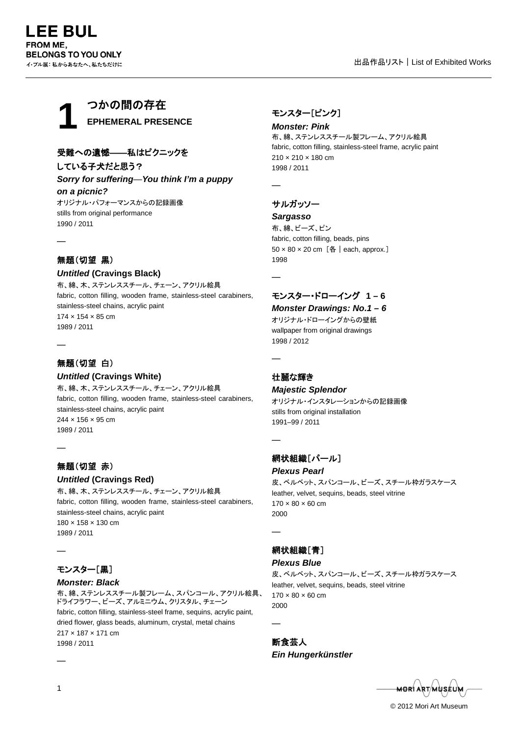

# 受難への遺憾――私はピクニックを

している子犬だと思う?

*Sorry for suffering*—*You think I'm a puppy on a picnic?*

オリジナル・パフォーマンスからの記録画像 stills from original performance 1990 / 2011

## 無題(切望 黒)

―

―

―

―

### *Untitled* **(Cravings Black)**

布、綿、木、ステンレススチール、チェーン、アクリル絵具 fabric, cotton filling, wooden frame, stainless-steel carabiners, stainless-steel chains, acrylic paint 174 × 154 × 85 cm 1989 / 2011

## 無題(切望 白)

#### *Untitled* **(Cravings White)**

布、綿、木、ステンレススチール、チェーン、アクリル絵具 fabric, cotton filling, wooden frame, stainless-steel carabiners, stainless-steel chains, acrylic paint 244 × 156 × 95 cm 1989 / 2011

### 無題(切望 赤)

#### *Untitled* **(Cravings Red)**

布、綿、木、ステンレススチール、チェーン、アクリル絵具 fabric, cotton filling, wooden frame, stainless-steel carabiners, stainless-steel chains, acrylic paint 180 × 158 × 130 cm 1989 / 2011

### モンスター[黒]

#### *Monster: Black*

布、綿、ステンレススチール製フレーム、スパンコール、アクリル絵具、 ドライフラワー、ビーズ、アルミニウム、クリスタル、チェーン fabric, cotton filling, stainless-steel frame, sequins, acrylic paint, dried flower, glass beads, aluminum, crystal, metal chains 217 × 187 × 171 cm 1998 / 2011

### モンスター[ピンク]

*Monster: Pink* 布、綿、ステンレススチール製フレーム、アクリル絵具 fabric, cotton filling, stainless-steel frame, acrylic paint 210 × 210 × 180 cm 1998 / 2011

―

### サルガッソー

*Sargasso*

布、綿、ビーズ、ピン fabric, cotton filling, beads, pins 50 × 80 × 20 cm [各|each, approx.] 1998

―

# モンスター・ドローイング **1 – 6**

## *Monster Drawings: No.1 – 6*

オリジナル・ドローイングからの壁紙 wallpaper from original drawings 1998 / 2012

#### 壮麗な輝き

―

―

―

―

#### *Majestic Splendor*

オリジナル・インスタレーションからの記録画像 stills from original installation 1991–99 / 2011

## 網状組織[パール]

#### *Plexus Pearl*

皮、ベルベット、スパンコール、ビーズ、スチール枠ガラスケース leather, velvet, sequins, beads, steel vitrine  $170 \times 80 \times 60$  cm 2000

### 網状組織[青]

#### *Plexus Blue*

皮、ベルベット、スパンコール、ビーズ、スチール枠ガラスケース leather, velvet, sequins, beads, steel vitrine  $170 \times 80 \times 60$  cm 2000

断食芸人 *Ein Hungerkünstler*

<del>MOR</del>Í ART/MÙSÉL

© 2012 Mori Art Museum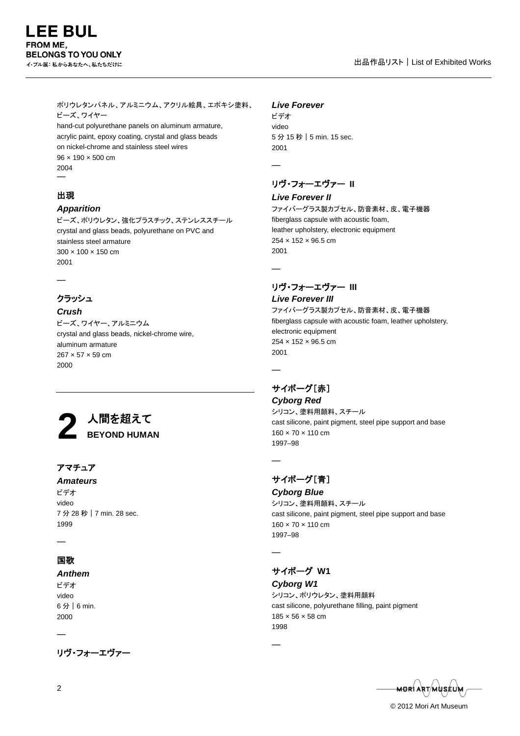ポリウレタンパネル、アルミニウム、アクリル絵具、エポキシ塗料、 ビーズ、ワイヤー

hand-cut polyurethane panels on aluminum armature, acrylic paint, epoxy coating, crystal and glass beads on nickel-chrome and stainless steel wires 96 × 190 × 500 cm 2004 ―

### 出現

### *Apparition*

ビーズ、ポリウレタン、強化プラスチック、ステンレススチール crystal and glass beads, polyurethane on PVC and stainless steel armature 300 × 100 × 150 cm 2001

―

## クラッシュ

#### *Crush*

ビーズ、ワイヤー、アルミニウム crystal and glass beads, nickel-chrome wire, aluminum armature 267 × 57 × 59 cm 2000



### アマチュア

*Amateurs* ビデオ

video 7 分 28 秒|7 min. 28 sec. 1999

# ―

# 国歌

#### *Anthem*

ビデオ video 6 分|6 min. 2000

―

リヴ・フォーエヴァー

#### *Live Forever*

ビデオ video 5 分 15 秒|5 min. 15 sec. 2001

### リヴ・フォーエヴァー **II**

#### *Live Forever II*

ファイバーグラス製カプセル、防音素材、皮、電子機器 fiberglass capsule with acoustic foam, leather upholstery, electronic equipment 254 × 152 × 96.5 cm 2001

―

―

―

―

# リヴ・フォーエヴァー **III**

*Live Forever III* ファイバーグラス製カプセル、防音素材、皮、電子機器 fiberglass capsule with acoustic foam, leather upholstery, electronic equipment 254 × 152 × 96.5 cm 2001

### サイボーグ[赤]

*Cyborg Red* シリコン、塗料用顔料、スチール cast silicone, paint pigment, steel pipe support and base 160 × 70 × 110 cm 1997–98

# サイボーグ[青]

*Cyborg Blue* シリコン、塗料用顔料、スチール cast silicone, paint pigment, steel pipe support and base 160 × 70 × 110 cm 1997–98

―

―

# サイボーグ **W1**

*Cyborg W1* シリコン、ポリウレタン、塗料用顔料 cast silicone, polyurethane filling, paint pigment 185 × 56 × 58 cm 1998

<del>MOR</del>Í ART/MÙSÉU

© 2012 Mori Art Museum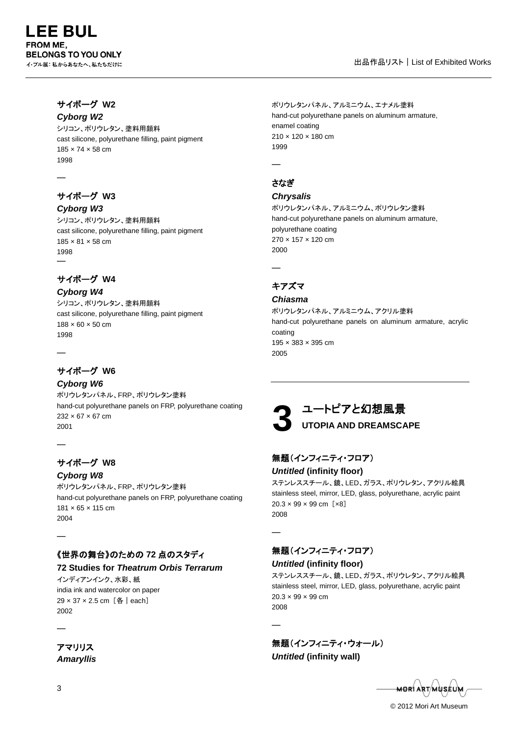### サイボーグ **W2** *Cyborg W2*

シリコン、ポリウレタン、塗料用顔料 cast silicone, polyurethane filling, paint pigment 185 × 74 × 58 cm 1998

―

### サイボーグ **W3** *Cyborg W3*

シリコン、ポリウレタン、塗料用顔料 cast silicone, polyurethane filling, paint pigment 185 × 81 × 58 cm 1998 ―

# サイボーグ **W4**

*Cyborg W4* シリコン、ポリウレタン、塗料用顔料 cast silicone, polyurethane filling, paint pigment 188 × 60 × 50 cm 1998

# サイボーグ **W6**

―

―

2004

―

*Cyborg W6* ポリウレタンパネル、FRP、ポリウレタン塗料 hand-cut polyurethane panels on FRP, polyurethane coating 232 × 67 × 67 cm 2001

# サイボーグ **W8**

*Cyborg W8* ポリウレタンパネル、FRP、ポリウレタン塗料 hand-cut polyurethane panels on FRP, polyurethane coating 181 × 65 × 115 cm

# 《世界の舞台》のための **72** 点のスタディ

### **72 Studies for** *Theatrum Orbis Terrarum*

インディアンインク、水彩、紙 india ink and watercolor on paper 29 × 37 × 2.5 cm [各 | each] 2002

アマリリス *Amaryllis* ポリウレタンパネル、アルミニウム、エナメル塗料 hand-cut polyurethane panels on aluminum armature, enamel coating 210 × 120 × 180 cm 1999

さなぎ

―

### *Chrysalis*

ポリウレタンパネル、アルミニウム、ポリウレタン塗料 hand-cut polyurethane panels on aluminum armature, polyurethane coating 270 × 157 × 120 cm 2000

# キアズマ

―

### *Chiasma*

ポリウレタンパネル、アルミニウム、アクリル塗料 hand-cut polyurethane panels on aluminum armature, acrylic coating 195 × 383 × 395 cm 2005

# ユートピアと幻想風景 **UTOPIA AND DREAMSCAPE 3**

# 無題(インフィニティ・フロア)

### *Untitled* **(infinity floor)**

ステンレススチール、鏡、LED、ガラス、ポリウレタン、アクリル絵具 stainless steel, mirror, LED, glass, polyurethane, acrylic paint 20.3 × 99 × 99 cm [×8] 2008

無題(インフィニティ・フロア)

### *Untitled* **(infinity floor)**

―

―

ステンレススチール、鏡、LED、ガラス、ポリウレタン、アクリル絵具 stainless steel, mirror, LED, glass, polyurethane, acrylic paint  $20.3 \times 99 \times 99$  cm 2008

無題(インフィニティ・ウォール)

*Untitled* **(infinity wall)**

<del>MOR</del>I ART/MUSÉUM

© 2012 Mori Art Museum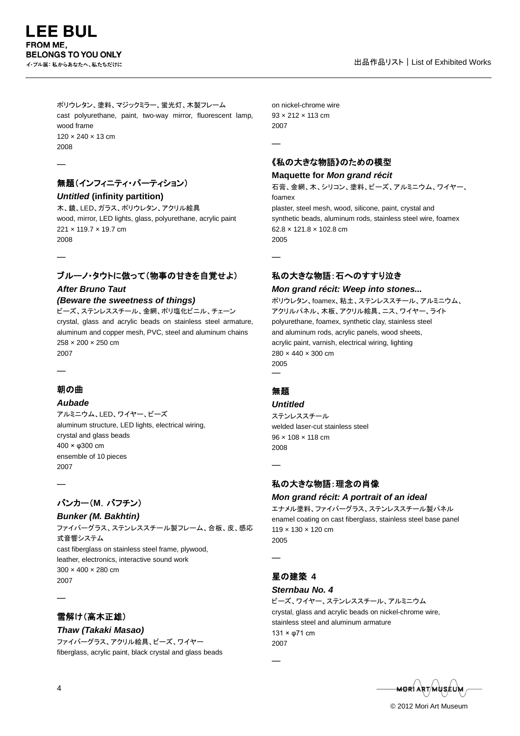―

―

ポリウレタン、塗料、マジックミラー、蛍光灯、木製フレーム cast polyurethane, paint, two-way mirror, fluorescent lamp, wood frame 120 × 240 × 13 cm 2008

# 無題(インフィニティ・パーティション)

*Untitled* **(infinity partition)** 木、鏡、LED、ガラス、ポリウレタン、アクリル絵具 wood, mirror, LED lights, glass, polyurethane, acrylic paint 221 × 119.7 × 19.7 cm 2008

# ブルーノ・タウトに倣って(物事の甘きを自覚せよ)

# *After Bruno Taut (Beware the sweetness of things)*

ビーズ、ステンレススチール、金網、ポリ塩化ビニル、チェーン crystal, glass and acrylic beads on stainless steel armature, aluminum and copper mesh, PVC, steel and aluminum chains 258 × 200 × 250 cm 2007

朝の曲

―

―

### *Aubade*

アルミニウム、LED、ワイヤー、ビーズ aluminum structure, LED lights, electrical wiring, crystal and glass beads 400 × φ300 cm ensemble of 10 pieces 2007

# バンカー(**M**.バフチン)

*Bunker (M. Bakhtin)* ファイバーグラス、ステンレススチール製フレーム、合板、皮、感応 式音響システム cast fiberglass on stainless steel frame, plywood, leather, electronics, interactive sound work 300 × 400 × 280 cm 2007

# 雪解け(高木正雄)

#### *Thaw (Takaki Masao)* ファイバーグラス、アクリル絵具、ビーズ、ワイヤー fiberglass, acrylic paint, black crystal and glass beads

on nickel-chrome wire 93 × 212 × 113 cm 2007

―

―

《私の大きな物語》のための模型

### **Maquette for** *Mon grand récit*

石膏、金網、木、シリコン、塗料、ビーズ、アルミニウム、ワイヤー、 foamex plaster, steel mesh, wood, silicone, paint, crystal and synthetic beads, aluminum rods, stainless steel wire, foamex 62.8 × 121.8 × 102.8 cm 2005

# 私の大きな物語:石へのすすり泣き

### *Mon grand récit: Weep into stones...*

ポリウレタン、foamex、粘土、ステンレススチール、アルミニウム、 アクリルパネル、木板、アクリル絵具、ニス、ワイヤー、ライト polyurethane, foamex, synthetic clay, stainless steel and aluminum rods, acrylic panels, wood sheets, acrylic paint, varnish, electrical wiring, lighting 280 × 440 × 300 cm 2005 ―

# 無題

### *Untitled*

ステンレススチール welded laser-cut stainless steel 96 × 108 × 118 cm 2008

―

### 私の大きな物語:理念の肖像

### *Mon grand récit: A portrait of an ideal*

エナメル塗料、ファイバーグラス、ステンレススチール製パネル enamel coating on cast fiberglass, stainless steel base panel 119 × 130 × 120 cm 2005

―

―

# 星の建築 **4**

### *Sternbau No. 4*

ビーズ、ワイヤー、ステンレススチール、アルミニウム crystal, glass and acrylic beads on nickel-chrome wire, stainless steel and aluminum armature 131 × φ71 cm 2007

<del>MOR</del>Í ART/MUSÉL

© 2012 Mori Art Museum

 $\overline{A}$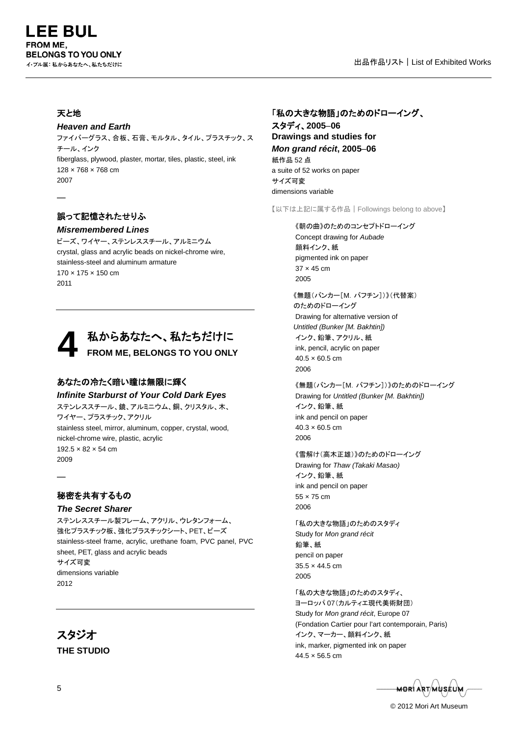### 天と地

―

#### *Heaven and Earth*

ファイバーグラス、合板、石膏、モルタル、タイル、プラスチック、ス チール、インク fiberglass, plywood, plaster, mortar, tiles, plastic, steel, ink 128 × 768 × 768 cm 2007

## 誤って記憶されたせりふ

#### *Misremembered Lines*

ビーズ、ワイヤー、ステンレススチール、アルミニウム crystal, glass and acrylic beads on nickel-chrome wire, stainless-steel and aluminum armature 170 × 175 × 150 cm 2011



### あなたの冷たく暗い瞳は無限に輝く

#### *Infinite Starburst of Your Cold Dark Eyes*

ステンレススチール、鏡、アルミニウム、銅、クリスタル、木、 ワイヤー、プラスチック、アクリル stainless steel, mirror, aluminum, copper, crystal, wood, nickel-chrome wire, plastic, acrylic 192.5 × 82 × 54 cm 2009

### 秘密を共有するもの

―

#### *The Secret Sharer*

ステンレススチール製フレーム、アクリル、ウレタンフォーム、 強化プラスチック板、強化プラスチックシート、PET、ビーズ stainless-steel frame, acrylic, urethane foam, PVC panel, PVC sheet, PET, glass and acrylic beads サイズ可変 dimensions variable 2012

# スタジオ **THE STUDIO**

## 「私の大きな物語」のためのドローイング、

スタディ、**2005**–**06 Drawings and studies for** *Mon grand récit***, 2005**–**06** 紙作品 52 点 a suite of 52 works on paper サイズ可変 dimensions variable

【以下は上記に属する作品|Followings belong to above】

### 《朝の曲》のためのコンセプトドローイング Concept drawing for *Aubade* 顔料インク、紙 pigmented ink on paper 37 × 45 cm 2005

《無題(バンカー[M.バフチン])》(代替案) のためのドローイング Drawing for alternative version of *Untitled (Bunker [M. Bakhtin])* インク、鉛筆、アクリル、紙 ink, pencil, acrylic on paper  $40.5 \times 60.5$  cm 2006

《無題(バンカー[M.バフチン])》のためのドローイング Drawing for *Untitled (Bunker [M. Bakhtin])* インク、鉛筆、紙 ink and pencil on paper  $40.3 \times 60.5$  cm 2006

#### 《雪解け(高木正雄)》のためのドローイング Drawing for *Thaw (Takaki Masao)* インク、鉛筆、紙 ink and pencil on paper 55 × 75 cm 2006

「私の大きな物語」のためのスタディ Study for *Mon grand récit* 鉛筆、紙 pencil on paper 35.5 × 44.5 cm 2005

「私の大きな物語」のためのスタディ、 ヨーロッパ 07(カルティエ現代美術財団) Study for *Mon grand récit*, Europe 07 (Fondation Cartier pour l'art contemporain, Paris) インク、マーカー、顔料インク、紙 ink, marker, pigmented ink on paper  $44.5 \times 56.5$  cm

<del>MOR</del>I ART/MUSEUM

© 2012 Mori Art Museum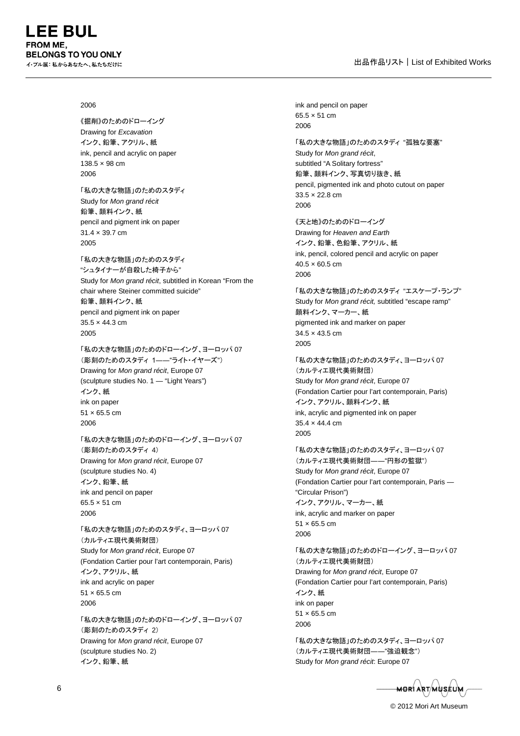#### 2006

《掘削》のためのドローイング Drawing for *Excavation* インク、鉛筆、アクリル、紙 ink, pencil and acrylic on paper 138.5 × 98 cm 2006

「私の大きな物語」のためのスタディ Study for *Mon grand récit* 鉛筆、顔料インク、紙 pencil and pigment ink on paper 31.4 × 39.7 cm 2005

「私の大きな物語」のためのスタディ "シュタイナーが自殺した椅子から" Study for *Mon grand récit*, subtitled in Korean "From the chair where Steiner committed suicide" 鉛筆、顔料インク、紙 pencil and pigment ink on paper 35.5 × 44.3 cm 2005

「私の大きな物語」のためのドローイング、ヨーロッパ 07 (彫刻のためのスタディ 1――"ライト・イヤーズ") Drawing for *Mon grand récit*, Europe 07 (sculpture studies No. 1 — "Light Years") インク、紙 ink on paper  $51 \times 65.5$  cm 2006

「私の大きな物語」のためのドローイング、ヨーロッパ 07 (彫刻のためのスタディ 4) Drawing for *Mon grand récit*, Europe 07 (sculpture studies No. 4) インク、鉛筆、紙 ink and pencil on paper 65.5 × 51 cm 2006

「私の大きな物語」のためのスタディ、ヨーロッパ 07 (カルティエ現代美術財団) Study for *Mon grand récit*, Europe 07 (Fondation Cartier pour l'art contemporain, Paris) インク、アクリル、紙 ink and acrylic on paper 51 × 65.5 cm 2006

「私の大きな物語」のためのドローイング、ヨーロッパ 07 (彫刻のためのスタディ 2) Drawing for *Mon grand récit*, Europe 07 (sculpture studies No. 2) インク、鉛筆、紙

ink and pencil on paper 65.5 × 51 cm 2006 「私の大きな物語」のためのスタディ "孤独な要塞" Study for *Mon grand récit*, subtitled "A Solitary fortress" 鉛筆、顔料インク、写真切り抜き、紙 pencil, pigmented ink and photo cutout on paper 33.5 × 22.8 cm 2006 《天と地》のためのドローイング Drawing for *Heaven and Earth* インク、鉛筆、色鉛筆、アクリル、紙 ink, pencil, colored pencil and acrylic on paper  $40.5 \times 60.5$  cm 2006 「私の大きな物語」のためのスタディ "エスケープ・ランプ" Study for *Mon grand récit,* subtitled "escape ramp" 顔料インク、マーカー、紙 pigmented ink and marker on paper 34.5 × 43.5 cm 2005 「私の大きな物語」のためのスタディ、ヨーロッパ 07 (カルティエ現代美術財団) Study for *Mon grand récit*, Europe 07

(Fondation Cartier pour l'art contemporain, Paris) インク、アクリル、顔料インク、紙 ink, acrylic and pigmented ink on paper 35.4 × 44.4 cm 2005

「私の大きな物語」のためのスタディ、ヨーロッパ 07 (カルティエ現代美術財団――"円形の監獄") Study for *Mon grand récit*, Europe 07 (Fondation Cartier pour l'art contemporain, Paris — "Circular Prison") インク、アクリル、マーカー、紙 ink, acrylic and marker on paper 51 × 65.5 cm 2006

「私の大きな物語」のためのドローイング、ヨーロッパ 07 (カルティエ現代美術財団) Drawing for *Mon grand récit*, Europe 07 (Fondation Cartier pour l'art contemporain, Paris) インク、紙 ink on paper 51 × 65.5 cm 2006

「私の大きな物語」のためのスタディ、ヨーロッパ 07 (カルティエ現代美術財団――"強迫観念") Study for *Mon grand récit*: Europe 07

<del>MOR</del>I ART/MUSEUM

© 2012 Mori Art Museum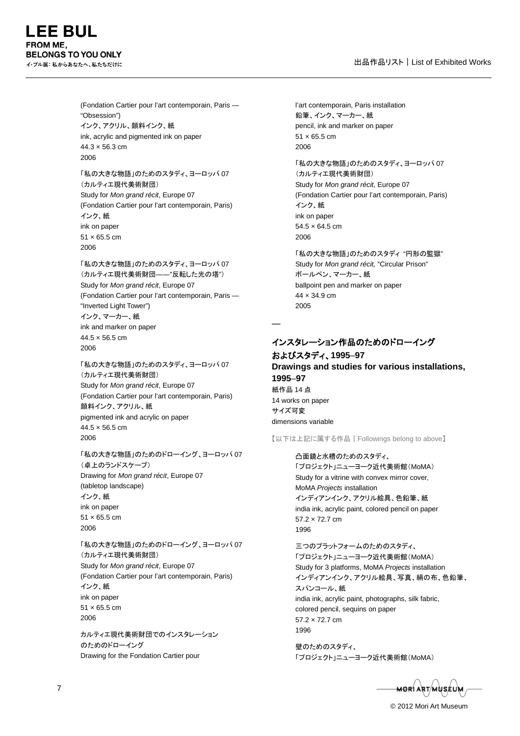**FE BUL FROM ME. BELONGS TO YOU ONLY** イ・ブル展:私からあなたへ、私たちだけに

> (Fondation Cartier pour l'art contemporain, Paris — "Obsession") インク、アクリル、顔料インク、紙 ink, acrylic and pigmented ink on paper  $44.3 \times 56.3$  cm 2006

「私の大きな物語」のためのスタディ、ヨーロッパ 07 (カルティエ現代美術財団) Study for *Mon grand récit*, Europe 07 (Fondation Cartier pour l'art contemporain, Paris) インク、紙 ink on paper  $51 \times 65.5$  cm 2006

「私の大きな物語」のためのスタディ、ヨーロッパ 07 (カルティエ現代美術財団――"反転した光の塔") Study for *Mon grand récit*, Europe 07 (Fondation Cartier pour l'art contemporain, Paris — "Inverted Light Tower") インク、マーカー、紙 ink and marker on paper 44.5 × 56.5 cm 2006

「私の大きな物語」のためのスタディ、ヨーロッパ 07 (カルティエ現代美術財団) Study for *Mon grand récit*, Europe 07 (Fondation Cartier pour l'art contemporain, Paris) 顔料インク、アクリル、紙 pigmented ink and acrylic on paper  $44.5 \times 56.5$  cm 2006

「私の大きな物語」のためのドローイング、ヨーロッパ 07 (卓上のランドスケープ) Drawing for *Mon grand récit*, Europe 07 (tabletop landscape) インク、紙 ink on paper 51 × 65.5 cm 2006

「私の大きな物語」のためのドローイング、ヨーロッパ 07 (カルティエ現代美術財団) Study for *Mon grand récit*, Europe 07 (Fondation Cartier pour l'art contemporain, Paris) インク、紙 ink on paper 51 × 65.5 cm 2006

カルティエ現代美術財団でのインスタレーション のためのドローイング Drawing for the Fondation Cartier pour

l'art contemporain, Paris installation 鉛筆、インク、マーカー、紙 pencil, ink and marker on paper 51 × 65.5 cm 2006 「私の大きな物語」のためのスタディ、ヨーロッパ 07 (カルティエ現代美術財団)

Study for *Mon grand récit*, Europe 07 (Fondation Cartier pour l'art contemporain, Paris) インク、紙 ink on paper  $54.5 \times 64.5$  cm 2006

「私の大きな物語」のためのスタディ "円形の監獄" Study for *Mon grand récit,* "Circular Prison" ボールペン、マーカー、紙 ballpoint pen and marker on paper 44 × 34.9 cm 2005

# インスタレーション作品のためのドローイング

―

およびスタディ、**1995**–**97 Drawings and studies for various installations, 1995**–**97** 紙作品 14 点 14 works on paper サイズ可変 dimensions variable

【以下は上記に属する作品|Followings belong to above】

凸面鏡と水槽のためのスタディ、 「プロジェクト」ニューヨーク近代美術館(MoMA) Study for a vitrine with convex mirror cover, MoMA *Projects* installation インディアンインク、アクリル絵具、色鉛筆、紙 india ink, acrylic paint, colored pencil on paper 57.2 × 72.7 cm 1996

三つのプラットフォームのためのスタディ、 「プロジェクト」ニューヨーク近代美術館(MoMA) Study for 3 platforms, MoMA *Projects* installation インディアンインク、アクリル絵具、写真、絹の布、色鉛筆、 スパンコール、紙 india ink, acrylic paint, photographs, silk fabric, colored pencil, sequins on paper 57.2 × 72.7 cm 1996

壁のためのスタディ、 「プロジェクト」ニューヨーク近代美術館(MoMA)

<del>MO</del>RI ART/MUSEUM

© 2012 Mori Art Museum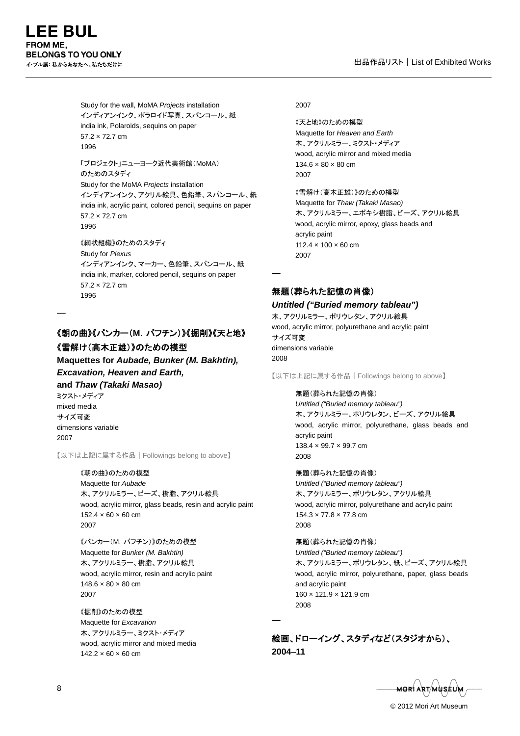Study for the wall, MoMA *Projects* installation インディアンインク、ポラロイド写真、スパンコール、紙 india ink, Polaroids, sequins on paper 57.2 × 72.7 cm 1996

「プロジェクト」ニューヨーク近代美術館(MoMA) のためのスタディ Study for the MoMA *Projects* installation インディアンインク、アクリル絵具、色鉛筆、スパンコール、紙 india ink, acrylic paint, colored pencil, sequins on paper 57.2 × 72.7 cm 1996

《網状組織》のためのスタディ Study for *Plexus* インディアンインク、マーカー、色鉛筆、スパンコール、紙 india ink, marker, colored pencil, sequins on paper 57.2 × 72.7 cm 1996

# 《朝の曲》《バンカー(**M**.バフチン)》《掘削》《天と地》 《雪解け(高木正雄)》のための模型

**Maquettes for** *Aubade, Bunker (M. Bakhtin), Excavation, Heaven and Earth,*

**and** *Thaw (Takaki Masao)*

ミクスト・メディア mixed media サイズ可変 dimensions variable 2007

―

【以下は上記に属する作品|Followings belong to above】

《朝の曲》のための模型 Maquette for *Aubade* 木、アクリルミラー、ビーズ、樹脂、アクリル絵具 wood, acrylic mirror, glass beads, resin and acrylic paint  $152.4 \times 60 \times 60$  cm 2007

《バンカー(M.バフチン)》のための模型 Maquette for *Bunker (M. Bakhtin)* 木、アクリルミラー、樹脂、アクリル絵具 wood, acrylic mirror, resin and acrylic paint  $148.6 \times 80 \times 80$  cm 2007

《掘削》のための模型 Maquette for *Excavation* 木、アクリルミラー、ミクスト・メディア wood, acrylic mirror and mixed media  $142.2 \times 60 \times 60$  cm

#### 2007

《天と地》のための模型 Maquette for *Heaven and Earth* 木、アクリルミラー、ミクスト・メディア wood, acrylic mirror and mixed media  $134.6 \times 80 \times 80$  cm 2007

《雪解け(高木正雄)》のための模型 Maquette for *Thaw (Takaki Masao)* 木、アクリルミラー、エポキシ樹脂、ビーズ、アクリル絵具 wood, acrylic mirror, epoxy, glass beads and acrylic paint 112.4 × 100 × 60 cm 2007

無題(葬られた記憶の肖像)

―

―

*Untitled ("Buried memory tableau")* 木、アクリルミラー、ポリウレタン、アクリル絵具 wood, acrylic mirror, polyurethane and acrylic paint サイズ可変 dimensions variable 2008

【以下は上記に属する作品|Followings belong to above】

無題(葬られた記憶の肖像) *Untitled ("Buried memory tableau")* 木、アクリルミラー、ポリウレタン、ビーズ、アクリル絵具 wood, acrylic mirror, polyurethane, glass beads and acrylic paint 138.4 x 99.7 x 99.7 cm 2008

無題(葬られた記憶の肖像) *Untitled ("Buried memory tableau")* 木、アクリルミラー、ポリウレタン、アクリル絵具 wood, acrylic mirror, polyurethane and acrylic paint 154.3 × 77.8 × 77.8 cm 2008

無題(葬られた記憶の肖像) *Untitled ("Buried memory tableau")* 木、アクリルミラー、ポリウレタン、紙、ビーズ、アクリル絵具 wood, acrylic mirror, polyurethane, paper, glass beads and acrylic paint 160 × 121.9 × 121.9 cm 2008

絵画、ドローイング、スタディなど(スタジオから)、 **2004**–**11**

<del>MOR</del>Í ART/MUSÉUM

© 2012 Mori Art Museum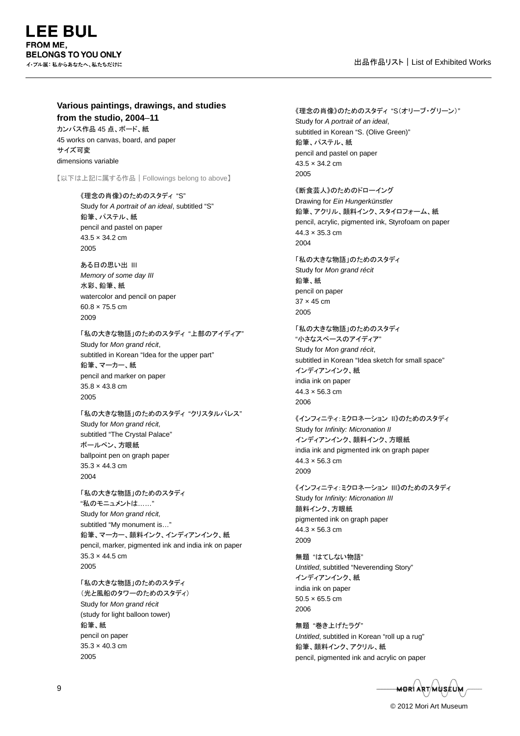#### **Various paintings, drawings, and studies from the studio, 2004**–**11**

カンバス作品 45 点、ボード、紙 45 works on canvas, board, and paper サイズ可変 dimensions variable

【以下は上記に属する作品|Followings belong to above】

《理念の肖像》のためのスタディ "S" Study for *A portrait of an ideal*, subtitled "S" 鉛筆、パステル、紙 pencil and pastel on paper 43.5 × 34.2 cm 2005

ある日の思い出 III *Memory of some day III* 水彩、鉛筆、紙 watercolor and pencil on paper 60.8 × 75.5 cm 2009

「私の大きな物語」のためのスタディ "上部のアイディア" Study for *Mon grand récit*, subtitled in Korean "Idea for the upper part" 鉛筆、マーカー、紙 pencil and marker on paper 35.8 × 43.8 cm 2005

「私の大きな物語」のためのスタディ "クリスタルパレス" Study for *Mon grand récit,* subtitled "The Crystal Palace" ボールペン、方眼紙 ballpoint pen on graph paper  $35.3 \times 44.3$  cm 2004

「私の大きな物語」のためのスタディ "私のモニュメントは……" Study for *Mon grand récit,* subtitled "My monument is…" 鉛筆、マーカー、顔料インク、インディアンインク、紙 pencil, marker, pigmented ink and india ink on paper  $35.3 \times 44.5$  cm 2005

「私の大きな物語」のためのスタディ (光と風船のタワーのためのスタディ) Study for *Mon grand récit* (study for light balloon tower) 鉛筆、紙 pencil on paper 35.3 × 40.3 cm 2005

《理念の肖像》のためのスタディ "S(オリーブ・グリーン)" Study for *A portrait of an ideal*, subtitled in Korean "S. (Olive Green)" 鉛筆、パステル、紙 pencil and pastel on paper 43.5 × 34.2 cm 2005 《断食芸人》のためのドローイング

Drawing for *Ein Hungerkünstler* 鉛筆、アクリル、顔料インク、スタイロフォーム、紙 pencil, acrylic, pigmented ink, Styrofoam on paper 44.3 × 35.3 cm 2004

「私の大きな物語」のためのスタディ Study for *Mon grand récit* 鉛筆、紙 pencil on paper 37 × 45 cm 2005

「私の大きな物語」のためのスタディ "小さなスペースのアイディア" Study for *Mon grand récit*, subtitled in Korean "Idea sketch for small space" インディアンインク、紙 india ink on paper  $44.3 \times 56.3$  cm 2006

《インフィニティ:ミクロネーション II》のためのスタディ Study for *Infinity: Micronation II* インディアンインク、顔料インク、方眼紙 india ink and pigmented ink on graph paper 44.3 × 56.3 cm 2009

《インフィニティ:ミクロネーション III》のためのスタディ Study for *Infinity: Micronation III* 顔料インク、方眼紙 pigmented ink on graph paper 44.3 × 56.3 cm 2009

無題 "はてしない物語" *Untitled*, subtitled "Neverending Story" インディアンインク、紙 india ink on paper  $50.5 \times 65.5$  cm 2006

無題 "巻き上げたラグ" *Untitled*, subtitled in Korean "roll up a rug" 鉛筆、顔料インク、アクリル、紙 pencil, pigmented ink and acrylic on paper

<del>-MOR</del>Í ART/MÙSÉUM

© 2012 Mori Art Museum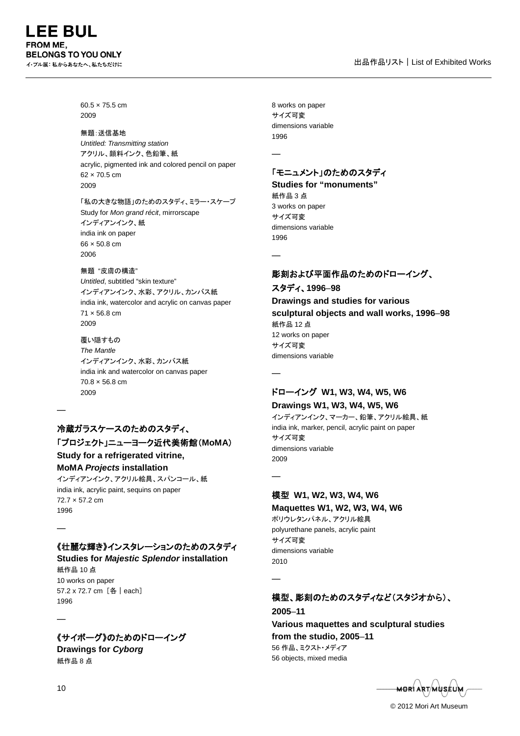60.5 × 75.5 cm 2009

#### 無題:送信基地

*Untitled: Transmitting station* アクリル、顔料インク、色鉛筆、紙 acrylic, pigmented ink and colored pencil on paper 62 × 70.5 cm 2009

「私の大きな物語」のためのスタディ、ミラー・スケープ Study for *Mon grand récit*, mirrorscape インディアンインク、紙 india ink on paper 66 × 50.8 cm 2006

#### 無題"皮膚の構造"

*Untitled*, subtitled "skin texture" インディアンインク、水彩、アクリル、カンバス紙 india ink, watercolor and acrylic on canvas paper 71 × 56.8 cm 2009

覆い隠すもの *The Mantle* インディアンインク、水彩、カンバス紙 india ink and watercolor on canvas paper 70.8 × 56.8 cm 2009

# 冷蔵ガラスケースのためのスタディ、

### 「プロジェクト」ニューヨーク近代美術館(**MoMA**)

**Study for a refrigerated vitrine, MoMA** *Projects* **installation**

インディアンインク、アクリル絵具、スパンコール、紙 india ink, acrylic paint, sequins on paper 72.7 × 57.2 cm 1996

# 《壮麗な輝き》インスタレーションのためのスタディ

**Studies for** *Majestic Splendor* **installation** 紙作品 10 点 10 works on paper

57.2 x 72.7 cm [各|each] 1996

# 《サイボーグ》のためのドローイング

**Drawings for** *Cyborg* 紙作品 8 点

8 works on paper サイズ可変 dimensions variable 1996

―

―

―

―

―

# 「モニュメント」のためのスタディ

**Studies for "monuments"** 紙作品 3 点 3 works on paper サイズ可変 dimensions variable 1996

# 彫刻および平面作品のためのドローイング、

スタディ、**1996**–**98 Drawings and studies for various sculptural objects and wall works, 1996**–**98** 紙作品 12 点 12 works on paper サイズ可変 dimensions variable

### ドローイング **W1, W3, W4, W5, W6 Drawings W1, W3, W4, W5, W6**

インディアンインク、マーカー、鉛筆、アクリル絵具、紙 india ink, marker, pencil, acrylic paint on paper サイズ可変 dimensions variable 2009

# 模型 **W1, W2, W3, W4, W6**

**Maquettes W1, W2, W3, W4, W6** ポリウレタンパネル、アクリル絵具 polyurethane panels, acrylic paint サイズ可変 dimensions variable 2010

# 模型、彫刻のためのスタディなど(スタジオから)、

**2005**–**11 Various maquettes and sculptural studies from the studio, 2005**–**11** 56 作品、ミクスト・メディア 56 objects, mixed media

<del>MOR</del>Í ART/MUSÉU

© 2012 Mori Art Museum

―

―